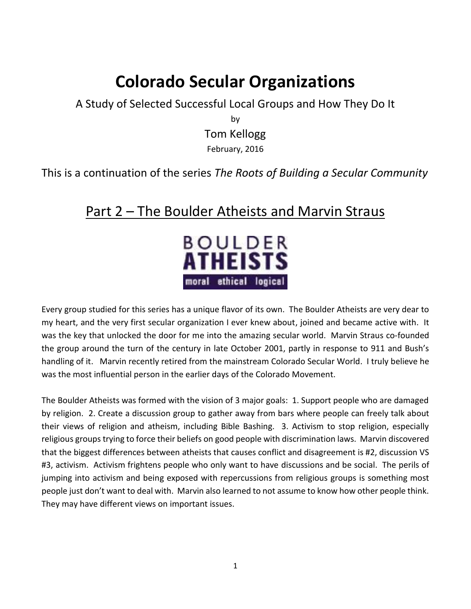## **Colorado Secular Organizations**

A Study of Selected Successful Local Groups and How They Do It

by Tom Kellogg February, 2016

This is a continuation of the series *The Roots of Building a Secular Community*

## Part 2 – The Boulder Atheists and Marvin Straus



Every group studied for this series has a unique flavor of its own. The Boulder Atheists are very dear to my heart, and the very first secular organization I ever knew about, joined and became active with. It was the key that unlocked the door for me into the amazing secular world. Marvin Straus co-founded the group around the turn of the century in late October 2001, partly in response to 911 and Bush's handling of it. Marvin recently retired from the mainstream Colorado Secular World. I truly believe he was the most influential person in the earlier days of the Colorado Movement.

The Boulder Atheists was formed with the vision of 3 major goals: 1. Support people who are damaged by religion. 2. Create a discussion group to gather away from bars where people can freely talk about their views of religion and atheism, including Bible Bashing. 3. Activism to stop religion, especially religious groups trying to force their beliefs on good people with discrimination laws. Marvin discovered that the biggest differences between atheists that causes conflict and disagreement is #2, discussion VS #3, activism. Activism frightens people who only want to have discussions and be social. The perils of jumping into activism and being exposed with repercussions from religious groups is something most people just don't want to deal with. Marvin also learned to not assume to know how other people think. They may have different views on important issues.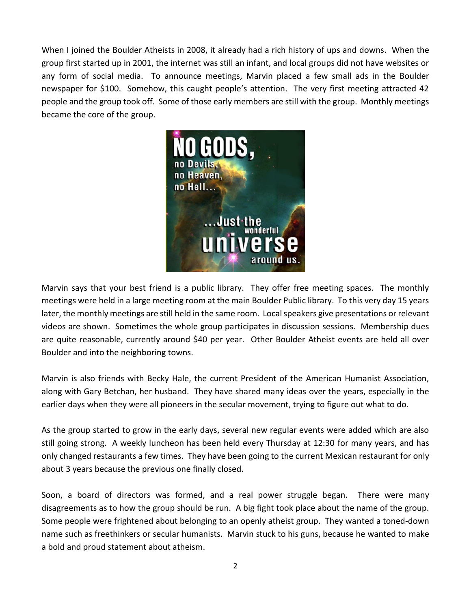When I joined the Boulder Atheists in 2008, it already had a rich history of ups and downs. When the group first started up in 2001, the internet was still an infant, and local groups did not have websites or any form of social media. To announce meetings, Marvin placed a few small ads in the Boulder newspaper for \$100. Somehow, this caught people's attention. The very first meeting attracted 42 people and the group took off. Some of those early members are still with the group. Monthly meetings became the core of the group.



Marvin says that your best friend is a public library. They offer free meeting spaces. The monthly meetings were held in a large meeting room at the main Boulder Public library. To this very day 15 years later, the monthly meetings are still held in the same room. Local speakers give presentations or relevant videos are shown. Sometimes the whole group participates in discussion sessions. Membership dues are quite reasonable, currently around \$40 per year. Other Boulder Atheist events are held all over Boulder and into the neighboring towns.

Marvin is also friends with Becky Hale, the current President of the American Humanist Association, along with Gary Betchan, her husband. They have shared many ideas over the years, especially in the earlier days when they were all pioneers in the secular movement, trying to figure out what to do.

As the group started to grow in the early days, several new regular events were added which are also still going strong. A weekly luncheon has been held every Thursday at 12:30 for many years, and has only changed restaurants a few times. They have been going to the current Mexican restaurant for only about 3 years because the previous one finally closed.

Soon, a board of directors was formed, and a real power struggle began. There were many disagreements as to how the group should be run. A big fight took place about the name of the group. Some people were frightened about belonging to an openly atheist group. They wanted a toned-down name such as freethinkers or secular humanists. Marvin stuck to his guns, because he wanted to make a bold and proud statement about atheism.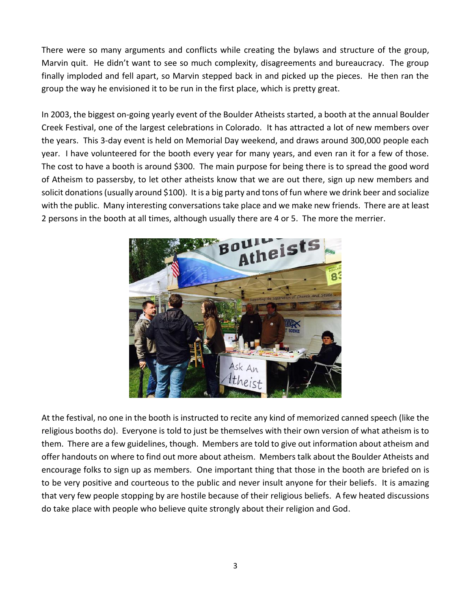There were so many arguments and conflicts while creating the bylaws and structure of the group, Marvin quit. He didn't want to see so much complexity, disagreements and bureaucracy. The group finally imploded and fell apart, so Marvin stepped back in and picked up the pieces. He then ran the group the way he envisioned it to be run in the first place, which is pretty great.

In 2003, the biggest on-going yearly event of the Boulder Atheists started, a booth at the annual Boulder Creek Festival, one of the largest celebrations in Colorado. It has attracted a lot of new members over the years. This 3-day event is held on Memorial Day weekend, and draws around 300,000 people each year. I have volunteered for the booth every year for many years, and even ran it for a few of those. The cost to have a booth is around \$300. The main purpose for being there is to spread the good word of Atheism to passersby, to let other atheists know that we are out there, sign up new members and solicit donations (usually around \$100). It is a big party and tons of fun where we drink beer and socialize with the public. Many interesting conversations take place and we make new friends. There are at least 2 persons in the booth at all times, although usually there are 4 or 5. The more the merrier.



At the festival, no one in the booth is instructed to recite any kind of memorized canned speech (like the religious booths do). Everyone is told to just be themselves with their own version of what atheism is to them. There are a few guidelines, though. Members are told to give out information about atheism and offer handouts on where to find out more about atheism. Members talk about the Boulder Atheists and encourage folks to sign up as members. One important thing that those in the booth are briefed on is to be very positive and courteous to the public and never insult anyone for their beliefs. It is amazing that very few people stopping by are hostile because of their religious beliefs. A few heated discussions do take place with people who believe quite strongly about their religion and God.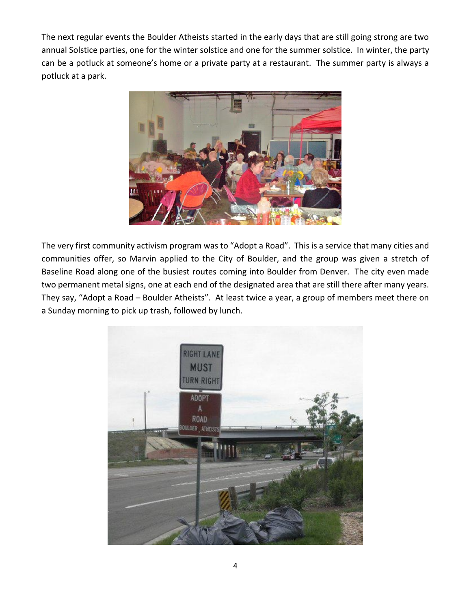The next regular events the Boulder Atheists started in the early days that are still going strong are two annual Solstice parties, one for the winter solstice and one for the summer solstice. In winter, the party can be a potluck at someone's home or a private party at a restaurant. The summer party is always a potluck at a park.



The very first community activism program was to "Adopt a Road". This is a service that many cities and communities offer, so Marvin applied to the City of Boulder, and the group was given a stretch of Baseline Road along one of the busiest routes coming into Boulder from Denver. The city even made two permanent metal signs, one at each end of the designated area that are still there after many years. They say, "Adopt a Road – Boulder Atheists". At least twice a year, a group of members meet there on a Sunday morning to pick up trash, followed by lunch.

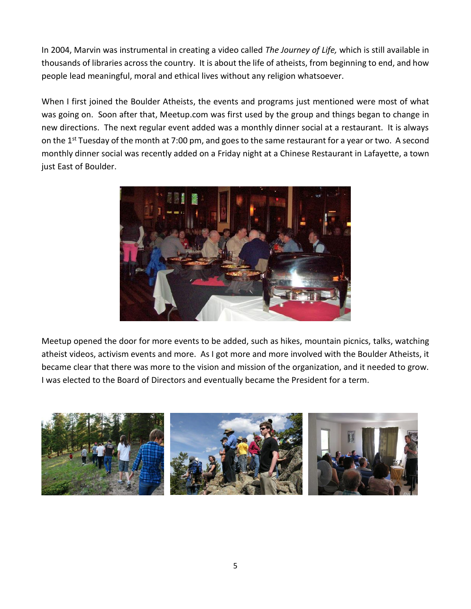In 2004, Marvin was instrumental in creating a video called *The Journey of Life,* which is still available in thousands of libraries across the country. It is about the life of atheists, from beginning to end, and how people lead meaningful, moral and ethical lives without any religion whatsoever.

When I first joined the Boulder Atheists, the events and programs just mentioned were most of what was going on. Soon after that, Meetup.com was first used by the group and things began to change in new directions. The next regular event added was a monthly dinner social at a restaurant. It is always on the 1<sup>st</sup> Tuesday of the month at 7:00 pm, and goes to the same restaurant for a year or two. A second monthly dinner social was recently added on a Friday night at a Chinese Restaurant in Lafayette, a town just East of Boulder.



Meetup opened the door for more events to be added, such as hikes, mountain picnics, talks, watching atheist videos, activism events and more. As I got more and more involved with the Boulder Atheists, it became clear that there was more to the vision and mission of the organization, and it needed to grow. I was elected to the Board of Directors and eventually became the President for a term.

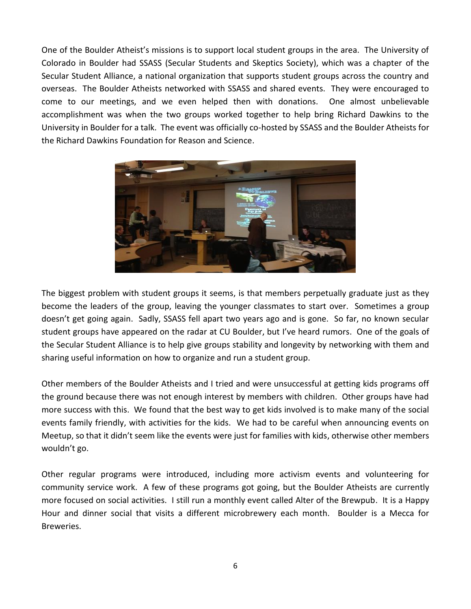One of the Boulder Atheist's missions is to support local student groups in the area. The University of Colorado in Boulder had SSASS (Secular Students and Skeptics Society), which was a chapter of the Secular Student Alliance, a national organization that supports student groups across the country and overseas. The Boulder Atheists networked with SSASS and shared events. They were encouraged to come to our meetings, and we even helped then with donations. One almost unbelievable accomplishment was when the two groups worked together to help bring Richard Dawkins to the University in Boulder for a talk. The event was officially co-hosted by SSASS and the Boulder Atheists for the Richard Dawkins Foundation for Reason and Science.



The biggest problem with student groups it seems, is that members perpetually graduate just as they become the leaders of the group, leaving the younger classmates to start over. Sometimes a group doesn't get going again. Sadly, SSASS fell apart two years ago and is gone. So far, no known secular student groups have appeared on the radar at CU Boulder, but I've heard rumors. One of the goals of the Secular Student Alliance is to help give groups stability and longevity by networking with them and sharing useful information on how to organize and run a student group.

Other members of the Boulder Atheists and I tried and were unsuccessful at getting kids programs off the ground because there was not enough interest by members with children. Other groups have had more success with this. We found that the best way to get kids involved is to make many of the social events family friendly, with activities for the kids. We had to be careful when announcing events on Meetup, so that it didn't seem like the events were just for families with kids, otherwise other members wouldn't go.

Other regular programs were introduced, including more activism events and volunteering for community service work. A few of these programs got going, but the Boulder Atheists are currently more focused on social activities. I still run a monthly event called Alter of the Brewpub. It is a Happy Hour and dinner social that visits a different microbrewery each month. Boulder is a Mecca for Breweries.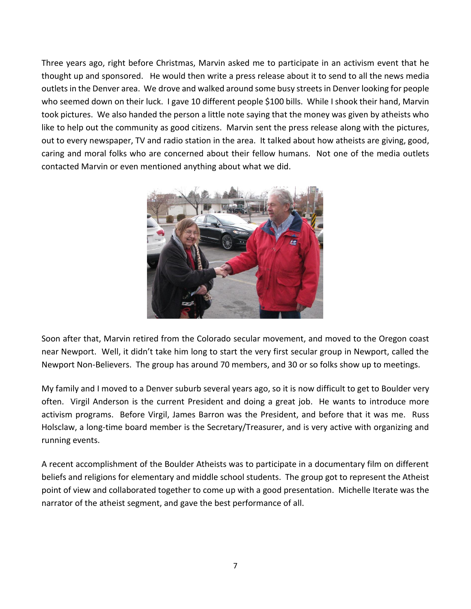Three years ago, right before Christmas, Marvin asked me to participate in an activism event that he thought up and sponsored. He would then write a press release about it to send to all the news media outlets in the Denver area. We drove and walked around some busy streets in Denver looking for people who seemed down on their luck. I gave 10 different people \$100 bills. While I shook their hand, Marvin took pictures. We also handed the person a little note saying that the money was given by atheists who like to help out the community as good citizens. Marvin sent the press release along with the pictures, out to every newspaper, TV and radio station in the area. It talked about how atheists are giving, good, caring and moral folks who are concerned about their fellow humans. Not one of the media outlets contacted Marvin or even mentioned anything about what we did.



Soon after that, Marvin retired from the Colorado secular movement, and moved to the Oregon coast near Newport. Well, it didn't take him long to start the very first secular group in Newport, called the Newport Non-Believers. The group has around 70 members, and 30 or so folks show up to meetings.

My family and I moved to a Denver suburb several years ago, so it is now difficult to get to Boulder very often. Virgil Anderson is the current President and doing a great job. He wants to introduce more activism programs. Before Virgil, James Barron was the President, and before that it was me. Russ Holsclaw, a long-time board member is the Secretary/Treasurer, and is very active with organizing and running events.

A recent accomplishment of the Boulder Atheists was to participate in a documentary film on different beliefs and religions for elementary and middle school students. The group got to represent the Atheist point of view and collaborated together to come up with a good presentation. Michelle Iterate was the narrator of the atheist segment, and gave the best performance of all.